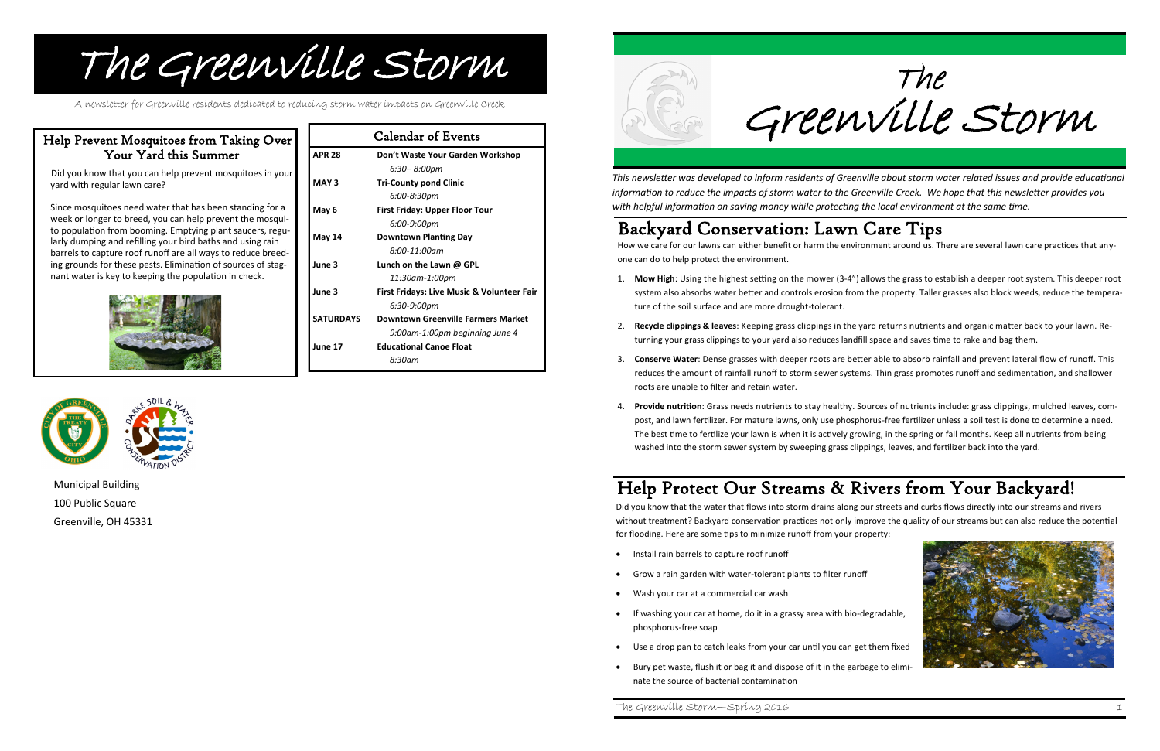| <b>Calendar of Events</b> |                                                       |
|---------------------------|-------------------------------------------------------|
| <b>APR 28</b>             | Don't Waste Your Garden Workshop                      |
|                           | 6:30–8:00pm                                           |
| MAY <sub>3</sub>          | <b>Tri-County pond Clinic</b>                         |
|                           | 6:00-8:30pm                                           |
| May 6                     | <b>First Friday: Upper Floor Tour</b>                 |
|                           | 6:00-9:00pm                                           |
| <b>May 14</b>             | <b>Downtown Planting Day</b>                          |
|                           | $8:00-11:00am$                                        |
| June 3                    | Lunch on the Lawn @ GPL                               |
|                           | 11:30am-1:00pm                                        |
| June 3                    | <b>First Fridays: Live Music &amp; Volunteer Fair</b> |
|                           | 6:30-9:00pm                                           |
| <b>SATURDAYS</b>          | <b>Downtown Greenville Farmers Market</b>             |
|                           | 9:00am-1:00pm beginning June 4                        |
| June 17                   | <b>Educational Canoe Float</b>                        |
|                           | 8:30am                                                |





# The Greenville Storm

A newsletter for Greenville residents dedicated to reducing storm water impacts on Greenville Creek

Municipal Building 100 Public Square Greenville, OH 45331

### Help Prevent Mosquitoes from Taking Over Your Yard this Summer

 Did you know that you can help prevent mosquitoes in your yard with regular lawn care?

Since mosquitoes need water that has been standing for a week or longer to breed, you can help prevent the mosquito population from booming. Emptying plant saucers, regularly dumping and refilling your bird baths and using rain barrels to capture roof runoff are all ways to reduce breeding grounds for these pests. Elimination of sources of stagnant water is key to keeping the population in check.





The Greenville Storm

- Install rain barrels to capture roof runoff
- Grow a rain garden with water-tolerant plants to filter runoff
- Wash your car at a commercial car wash
- If washing your car at home, do it in a grassy area with bio-degradable, phosphorus-free soap
- Use a drop pan to catch leaks from your car until you can get them fixed
- Bury pet waste, flush it or bag it and dispose of it in the garbage to eliminate the source of bacterial contamination

*This newsletter was developed to inform residents of Greenville about storm water related issues and provide educational information to reduce the impacts of storm water to the Greenville Creek. We hope that this newsletter provides you with helpful information on saving money while protecting the local environment at the same time.*

The Greenville Storm—Spring 2016 1

## Help Protect Our Streams & Rivers from Your Backyard!

Did you know that the water that flows into storm drains along our streets and curbs flows directly into our streams and rivers without treatment? Backyard conservation practices not only improve the quality of our streams but can also reduce the potential for flooding. Here are some tips to minimize runoff from your property:

### Backyard Conservation: Lawn Care Tips

How we care for our lawns can either benefit or harm the environment around us. There are several lawn care practices that anyone can do to help protect the environment.

1. **Mow High**: Using the highest setting on the mower (3-4") allows the grass to establish a deeper root system. This deeper root system also absorbs water better and controls erosion from the property. Taller grasses also block weeds, reduce the tempera-

2. **Recycle clippings & leaves**: Keeping grass clippings in the yard returns nutrients and organic matter back to your lawn. Re-

3. **Conserve Water**: Dense grasses with deeper roots are better able to absorb rainfall and prevent lateral flow of runoff. This reduces the amount of rainfall runoff to storm sewer systems. Thin grass promotes runoff and sedimentation, and shallower

- ture of the soil surface and are more drought-tolerant.
- turning your grass clippings to your yard also reduces landfill space and saves time to rake and bag them.
- roots are unable to filter and retain water.
- washed into the storm sewer system by sweeping grass clippings, leaves, and fertilizer back into the yard.

4. **Provide nutrition**: Grass needs nutrients to stay healthy. Sources of nutrients include: grass clippings, mulched leaves, compost, and lawn fertilizer. For mature lawns, only use phosphorus-free fertilizer unless a soil test is done to determine a need. The best time to fertilize your lawn is when it is actively growing, in the spring or fall months. Keep all nutrients from being